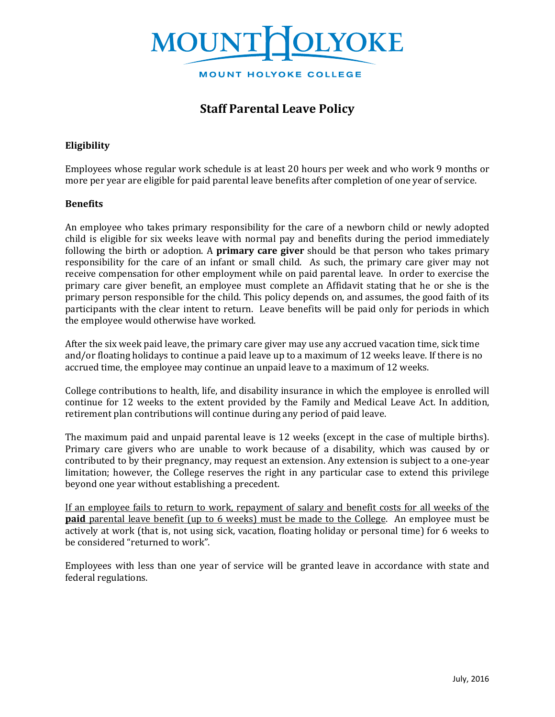

# **Staff Parental Leave Policy**

## **Eligibility**

Employees whose regular work schedule is at least 20 hours per week and who work 9 months or more per year are eligible for paid parental leave benefits after completion of one year of service.

### **Benefits**

An employee who takes primary responsibility for the care of a newborn child or newly adopted child is eligible for six weeks leave with normal pay and benefits during the period immediately following the birth or adoption. A **primary care giver** should be that person who takes primary responsibility for the care of an infant or small child. As such, the primary care giver may not receive compensation for other employment while on paid parental leave. In order to exercise the primary care giver benefit, an employee must complete an Affidavit stating that he or she is the primary person responsible for the child. This policy depends on, and assumes, the good faith of its participants with the clear intent to return. Leave benefits will be paid only for periods in which the employee would otherwise have worked.

After the six week paid leave, the primary care giver may use any accrued vacation time, sick time and/or floating holidays to continue a paid leave up to a maximum of 12 weeks leave. If there is no accrued time, the employee may continue an unpaid leave to a maximum of 12 weeks.

College contributions to health, life, and disability insurance in which the employee is enrolled will continue for 12 weeks to the extent provided by the Family and Medical Leave Act. In addition, retirement plan contributions will continue during any period of paid leave.

The maximum paid and unpaid parental leave is 12 weeks (except in the case of multiple births). Primary care givers who are unable to work because of a disability, which was caused by or contributed to by their pregnancy, may request an extension. Any extension is subject to a one-year limitation; however, the College reserves the right in any particular case to extend this privilege beyond one year without establishing a precedent.

If an employee fails to return to work, repayment of salary and benefit costs for all weeks of the **paid** parental leave benefit (up to 6 weeks) must be made to the College. An employee must be actively at work (that is, not using sick, vacation, floating holiday or personal time) for 6 weeks to be considered "returned to work".

Employees with less than one year of service will be granted leave in accordance with state and federal regulations.